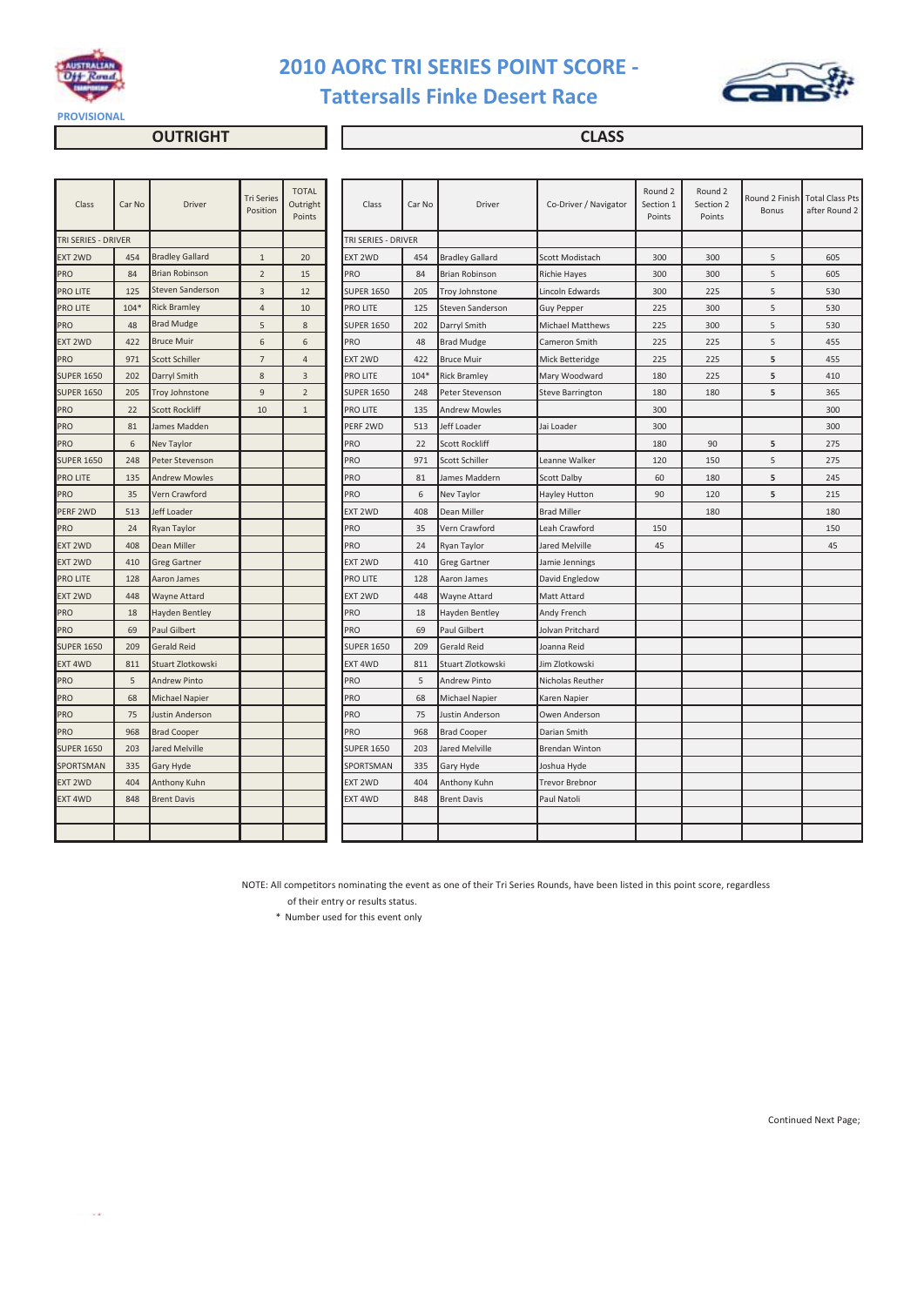

# **2010 AORC TRI SERIES POINT SCORE - Tattersalls Finke Desert Race**



**OUTRIGHT CLASS** 

| Class               | Car No | Driver                 | <b>Tri Series</b><br>Position | <b>TOTAL</b><br>Outright<br>Points | Class               | Car No | Driver                 | Co-Driver / Navigator   | Round 2<br>Section 1<br>Points | Round 2<br>Section 2<br>Points | Round 2 Finish<br>Bonus | <b>Total Class Pts</b><br>after Round 2 |
|---------------------|--------|------------------------|-------------------------------|------------------------------------|---------------------|--------|------------------------|-------------------------|--------------------------------|--------------------------------|-------------------------|-----------------------------------------|
| TRI SERIES - DRIVER |        |                        |                               |                                    | TRI SERIES - DRIVER |        |                        |                         |                                |                                |                         |                                         |
| EXT 2WD             | 454    | <b>Bradley Gallard</b> | $\mathbf{1}$                  | 20                                 | EXT 2WD             | 454    | <b>Bradley Gallard</b> | Scott Modistach         | 300                            | 300                            | 5                       | 605                                     |
| PRO                 | 84     | <b>Brian Robinson</b>  | $\overline{2}$                | 15                                 | PRO                 | 84     | <b>Brian Robinson</b>  | <b>Richie Hayes</b>     | 300                            | 300                            | 5                       | 605                                     |
| PRO LITE            | 125    | Steven Sanderson       | 3                             | 12                                 | <b>SUPER 1650</b>   | 205    | <b>Troy Johnstone</b>  | Lincoln Edwards         | 300                            | 225                            | 5                       | 530                                     |
| PRO LITE            | $104*$ | <b>Rick Bramley</b>    | $\overline{4}$                | 10                                 | PRO LITE            | 125    | Steven Sanderson       | <b>Guy Pepper</b>       | 225                            | 300                            | 5                       | 530                                     |
| PRO                 | 48     | <b>Brad Mudge</b>      | 5                             | 8                                  | <b>SUPER 1650</b>   | 202    | Darryl Smith           | <b>Michael Matthews</b> | 225                            | 300                            | 5                       | 530                                     |
| EXT 2WD             | 422    | <b>Bruce Muir</b>      | 6                             | 6                                  | PRO                 | 48     | <b>Brad Mudge</b>      | Cameron Smith           | 225                            | 225                            | 5                       | 455                                     |
| PRO                 | 971    | <b>Scott Schiller</b>  | $7\overline{ }$               | $\overline{4}$                     | EXT 2WD             | 422    | <b>Bruce Muir</b>      | Mick Betteridge         | 225                            | 225                            | 5                       | 455                                     |
| <b>SUPER 1650</b>   | 202    | Darryl Smith           | 8                             | 3                                  | PRO LITE            | $104*$ | <b>Rick Bramley</b>    | Mary Woodward           | 180                            | 225                            | 5                       | 410                                     |
| <b>SUPER 1650</b>   | 205    | Troy Johnstone         | 9                             | $\overline{2}$                     | <b>SUPER 1650</b>   | 248    | Peter Stevenson        | Steve Barrington        | 180                            | 180                            | 5                       | 365                                     |
| PRO                 | 22     | <b>Scott Rockliff</b>  | 10                            | $\mathbf{1}$                       | PRO LITE            | 135    | <b>Andrew Mowles</b>   |                         | 300                            |                                |                         | 300                                     |
| PRO                 | 81     | James Madden           |                               |                                    | PERF 2WD            | 513    | Jeff Loader            | Jai Loader              | 300                            |                                |                         | 300                                     |
| PRO                 | 6      | Nev Taylor             |                               |                                    | PRO                 | 22     | <b>Scott Rockliff</b>  |                         | 180                            | 90                             | 5                       | 275                                     |
| <b>SUPER 1650</b>   | 248    | Peter Stevenson        |                               |                                    | PRO                 | 971    | Scott Schiller         | Leanne Walker           | 120                            | 150                            | 5                       | 275                                     |
| PRO LITE            | 135    | <b>Andrew Mowles</b>   |                               |                                    | PRO                 | 81     | James Maddern          | Scott Dalby             | 60                             | 180                            | 5                       | 245                                     |
| PRO                 | 35     | Vern Crawford          |                               |                                    | <b>PRO</b>          | 6      | Nev Taylor             | Hayley Hutton           | 90                             | 120                            | 5                       | 215                                     |
| PERF 2WD            | 513    | Jeff Loader            |                               |                                    | EXT 2WD             | 408    | Dean Miller            | <b>Brad Miller</b>      |                                | 180                            |                         | 180                                     |
| PRO                 | 24     | Ryan Taylor            |                               |                                    | PRO                 | 35     | Vern Crawford          | Leah Crawford           | 150                            |                                |                         | 150                                     |
| EXT 2WD             | 408    | Dean Miller            |                               |                                    | PRO                 | 24     | Ryan Taylor            | Jared Melville          | 45                             |                                |                         | 45                                      |
| EXT 2WD             | 410    | <b>Greg Gartner</b>    |                               |                                    | EXT 2WD             | 410    | <b>Greg Gartner</b>    | Jamie Jennings          |                                |                                |                         |                                         |
| PRO LITE            | 128    | Aaron James            |                               |                                    | PRO LITE            | 128    | Aaron James            | David Engledow          |                                |                                |                         |                                         |
| EXT 2WD             | 448    | Wayne Attard           |                               |                                    | EXT 2WD             | 448    | Wayne Attard           | <b>Matt Attard</b>      |                                |                                |                         |                                         |
| PRO                 | 18     | <b>Hayden Bentley</b>  |                               |                                    | PRO                 | 18     | Hayden Bentley         | Andy French             |                                |                                |                         |                                         |
| PRO                 | 69     | Paul Gilbert           |                               |                                    | PRO                 | 69     | Paul Gilbert           | Jolvan Pritchard        |                                |                                |                         |                                         |
| <b>SUPER 1650</b>   | 209    | <b>Gerald Reid</b>     |                               |                                    | <b>SUPER 1650</b>   | 209    | <b>Gerald Reid</b>     | Joanna Reid             |                                |                                |                         |                                         |
| EXT 4WD             | 811    | Stuart Zlotkowski      |                               |                                    | EXT 4WD             | 811    | Stuart Zlotkowski      | Jim Zlotkowski          |                                |                                |                         |                                         |
| PRO                 | 5      | <b>Andrew Pinto</b>    |                               |                                    | <b>PRO</b>          | 5      | <b>Andrew Pinto</b>    | Nicholas Reuther        |                                |                                |                         |                                         |
| PRO                 | 68     | <b>Michael Napier</b>  |                               |                                    | <b>PRO</b>          | 68     | <b>Michael Napier</b>  | Karen Napier            |                                |                                |                         |                                         |
| PRO                 | 75     | Justin Anderson        |                               |                                    | PRO                 | 75     | Justin Anderson        | Owen Anderson           |                                |                                |                         |                                         |
| PRO                 | 968    | <b>Brad Cooper</b>     |                               |                                    | PRO                 | 968    | <b>Brad Cooper</b>     | Darian Smith            |                                |                                |                         |                                         |
| <b>SUPER 1650</b>   | 203    | Jared Melville         |                               |                                    | <b>SUPER 1650</b>   | 203    | Jared Melville         | <b>Brendan Winton</b>   |                                |                                |                         |                                         |
| SPORTSMAN           | 335    | Gary Hyde              |                               |                                    | SPORTSMAN           | 335    | Gary Hyde              | Joshua Hyde             |                                |                                |                         |                                         |
| EXT 2WD             | 404    | Anthony Kuhn           |                               |                                    | EXT 2WD             | 404    | Anthony Kuhn           | <b>Trevor Brebnor</b>   |                                |                                |                         |                                         |
| EXT 4WD             | 848    | <b>Brent Davis</b>     |                               |                                    | EXT 4WD             | 848    | <b>Brent Davis</b>     | Paul Natoli             |                                |                                |                         |                                         |
|                     |        |                        |                               |                                    |                     |        |                        |                         |                                |                                |                         |                                         |
|                     |        |                        |                               |                                    |                     |        |                        |                         |                                |                                |                         |                                         |
|                     |        |                        |                               |                                    |                     |        |                        |                         |                                |                                |                         |                                         |

NOTE: All competitors nominating the event as one of their Tri Series Rounds, have been listed in this point score, regardless

of their entry or results status.

\* Number used for this event only

Continued Next Page;